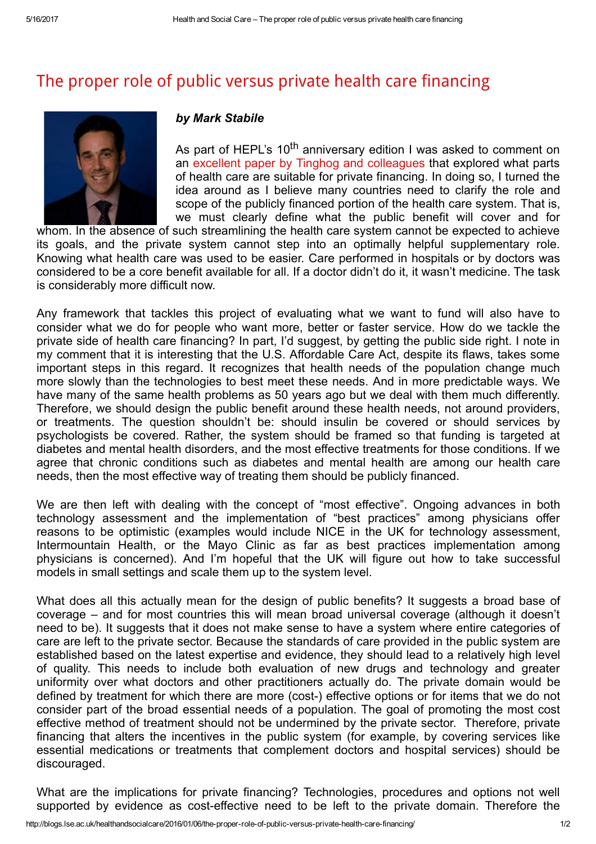## The proper role of public versus private health care [financing](http://blogs.lse.ac.uk/healthandsocialcare/2016/01/06/the-proper-role-of-public-versus-private-health-care-financing/)



## by Mark Stabile

As part of HEPL's 10<sup>th</sup> anniversary edition I was asked to comment on an excellent paper by Tinghog and [colleagues](http://journals.cambridge.org/action/displayAbstract?fromPage=online&aid=7454980&fulltextType=RA&fileId=S174413310999017X) that explored what parts of health care are suitable for private financing. In doing so, I turned the idea around as I believe many countries need to clarify the role and scope of the publicly financed portion of the health care system. That is, we must clearly define what the public benefit will cover and for

whom. In the absence of such streamlining the health care system cannot be expected to achieve its goals, and the private system cannot step into an optimally helpful supplementary role. Knowing what health care was used to be easier. Care performed in hospitals or by doctors was considered to be a core benefit available for all. If a doctor didn't do it, it wasn't medicine. The task is considerably more difficult now.

Any framework that tackles this project of evaluating what we want to fund will also have to consider what we do for people who want more, better or faster service. How do we tackle the private side of health care financing? In part, I'd suggest, by getting the public side right. I note in my comment that it is interesting that the U.S. Affordable Care Act, despite its flaws, takes some important steps in this regard. It recognizes that health needs of the population change much more slowly than the technologies to best meet these needs. And in more predictable ways. We have many of the same health problems as 50 years ago but we deal with them much differently. Therefore, we should design the public benefit around these health needs, not around providers, or treatments. The question shouldn't be: should insulin be covered or should services by psychologists be covered. Rather, the system should be framed so that funding is targeted at diabetes and mental health disorders, and the most effective treatments for those conditions. If we agree that chronic conditions such as diabetes and mental health are among our health care needs, then the most effective way of treating them should be publicly financed.

We are then left with dealing with the concept of "most effective". Ongoing advances in both technology assessment and the implementation of "best practices" among physicians offer reasons to be optimistic (examples would include NICE in the UK for technology assessment, Intermountain Health, or the Mayo Clinic as far as best practices implementation among physicians is concerned). And I'm hopeful that the UK will figure out how to take successful models in small settings and scale them up to the system level.

What does all this actually mean for the design of public benefits? It suggests a broad base of coverage – and for most countries this will mean broad universal coverage (although it doesn't need to be). It suggests that it does not make sense to have a system where entire categories of care are left to the private sector. Because the standards of care provided in the public system are established based on the latest expertise and evidence, they should lead to a relatively high level of quality. This needs to include both evaluation of new drugs and technology and greater uniformity over what doctors and other practitioners actually do. The private domain would be defined by treatment for which there are more (cost-) effective options or for items that we do not consider part of the broad essential needs of a population. The goal of promoting the most cost effective method of treatment should not be undermined by the private sector. Therefore, private financing that alters the incentives in the public system (for example, by covering services like essential medications or treatments that complement doctors and hospital services) should be discouraged.

What are the implications for private financing? Technologies, procedures and options not well supported by evidence as cost-effective need to be left to the private domain. Therefore the